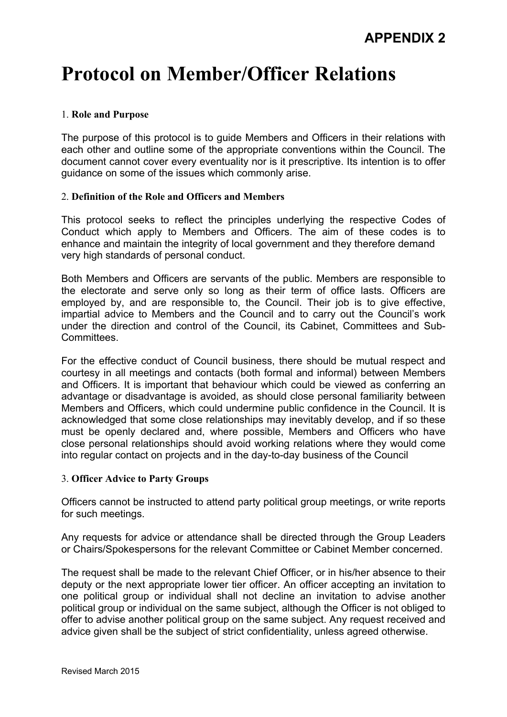# **Protocol on Member/Officer Relations**

# 1. **Role and Purpose**

The purpose of this protocol is to guide Members and Officers in their relations with each other and outline some of the appropriate conventions within the Council. The document cannot cover every eventuality nor is it prescriptive. Its intention is to offer guidance on some of the issues which commonly arise.

# 2. **Definition of the Role and Officers and Members**

This protocol seeks to reflect the principles underlying the respective Codes of Conduct which apply to Members and Officers. The aim of these codes is to enhance and maintain the integrity of local government and they therefore demand very high standards of personal conduct.

Both Members and Officers are servants of the public. Members are responsible to the electorate and serve only so long as their term of office lasts. Officers are employed by, and are responsible to, the Council. Their job is to give effective, impartial advice to Members and the Council and to carry out the Council's work under the direction and control of the Council, its Cabinet, Committees and Sub-**Committees** 

For the effective conduct of Council business, there should be mutual respect and courtesy in all meetings and contacts (both formal and informal) between Members and Officers. It is important that behaviour which could be viewed as conferring an advantage or disadvantage is avoided, as should close personal familiarity between Members and Officers, which could undermine public confidence in the Council. It is acknowledged that some close relationships may inevitably develop, and if so these must be openly declared and, where possible, Members and Officers who have close personal relationships should avoid working relations where they would come into regular contact on projects and in the day-to-day business of the Council

# 3. **Officer Advice to Party Groups**

Officers cannot be instructed to attend party political group meetings, or write reports for such meetings.

Any requests for advice or attendance shall be directed through the Group Leaders or Chairs/Spokespersons for the relevant Committee or Cabinet Member concerned.

The request shall be made to the relevant Chief Officer, or in his/her absence to their deputy or the next appropriate lower tier officer. An officer accepting an invitation to one political group or individual shall not decline an invitation to advise another political group or individual on the same subject, although the Officer is not obliged to offer to advise another political group on the same subject. Any request received and advice given shall be the subject of strict confidentiality, unless agreed otherwise.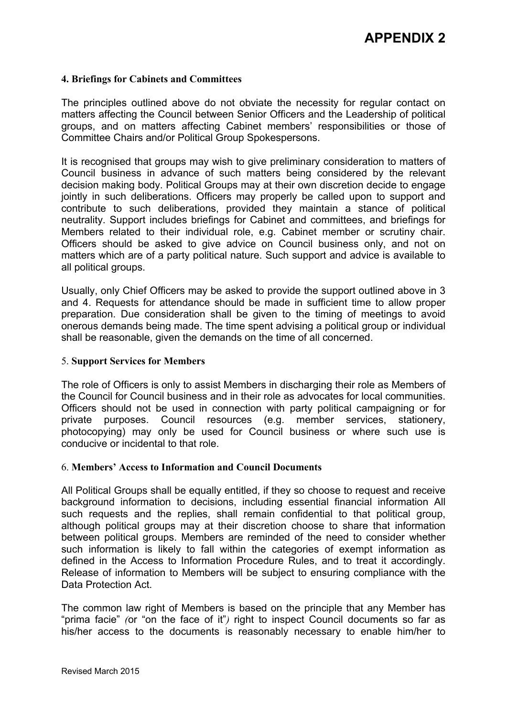# **APPENDIX 2**

#### **4. Briefings for Cabinets and Committees**

The principles outlined above do not obviate the necessity for regular contact on matters affecting the Council between Senior Officers and the Leadership of political groups, and on matters affecting Cabinet members' responsibilities or those of Committee Chairs and/or Political Group Spokespersons.

It is recognised that groups may wish to give preliminary consideration to matters of Council business in advance of such matters being considered by the relevant decision making body. Political Groups may at their own discretion decide to engage jointly in such deliberations. Officers may properly be called upon to support and contribute to such deliberations, provided they maintain a stance of political neutrality. Support includes briefings for Cabinet and committees, and briefings for Members related to their individual role, e.g. Cabinet member or scrutiny chair. Officers should be asked to give advice on Council business only, and not on matters which are of a party political nature. Such support and advice is available to all political groups.

Usually, only Chief Officers may be asked to provide the support outlined above in 3 and 4. Requests for attendance should be made in sufficient time to allow proper preparation. Due consideration shall be given to the timing of meetings to avoid onerous demands being made. The time spent advising a political group or individual shall be reasonable, given the demands on the time of all concerned.

#### 5. **Support Services for Members**

The role of Officers is only to assist Members in discharging their role as Members of the Council for Council business and in their role as advocates for local communities. Officers should not be used in connection with party political campaigning or for private purposes. Council resources (e.g. member services, stationery, photocopying) may only be used for Council business or where such use is conducive or incidental to that role.

# 6. **Members' Access to Information and Council Documents**

All Political Groups shall be equally entitled, if they so choose to request and receive background information to decisions, including essential financial information All such requests and the replies, shall remain confidential to that political group, although political groups may at their discretion choose to share that information between political groups. Members are reminded of the need to consider whether such information is likely to fall within the categories of exempt information as defined in the Access to Information Procedure Rules, and to treat it accordingly. Release of information to Members will be subject to ensuring compliance with the Data Protection Act.

The common law right of Members is based on the principle that any Member has "prima facie" *(*or "on the face of it"*)* right to inspect Council documents so far as his/her access to the documents is reasonably necessary to enable him/her to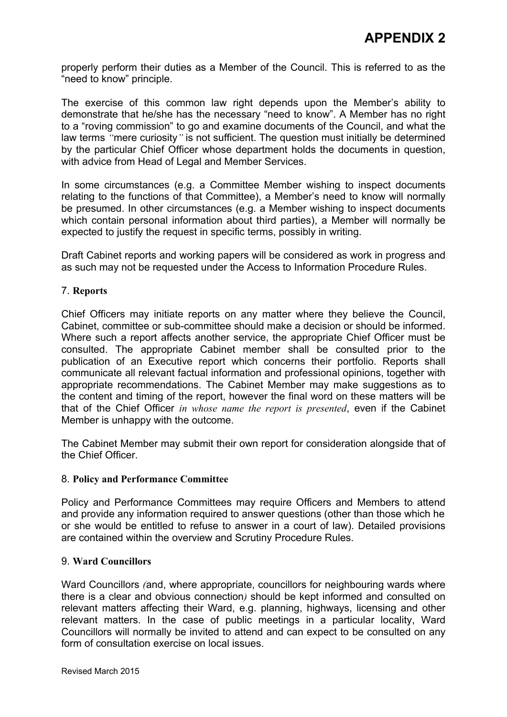properly perform their duties as a Member of the Council. This is referred to as the "need to know" principle.

The exercise of this common law right depends upon the Member's ability to demonstrate that he/she has the necessary "need to know". A Member has no right to a "roving commission" to go and examine documents of the Council, and what the law terms *"*mere curiosity*"* is not sufficient. The question must initially be determined by the particular Chief Officer whose department holds the documents in question, with advice from Head of Legal and Member Services.

In some circumstances (e.g. a Committee Member wishing to inspect documents relating to the functions of that Committee), a Member's need to know will normally be presumed. In other circumstances (e.g. a Member wishing to inspect documents which contain personal information about third parties), a Member will normally be expected to justify the request in specific terms, possibly in writing.

Draft Cabinet reports and working papers will be considered as work in progress and as such may not be requested under the Access to Information Procedure Rules.

# 7. **Reports**

Chief Officers may initiate reports on any matter where they believe the Council, Cabinet, committee or sub-committee should make a decision or should be informed. Where such a report affects another service, the appropriate Chief Officer must be consulted. The appropriate Cabinet member shall be consulted prior to the publication of an Executive report which concerns their portfolio. Reports shall communicate all relevant factual information and professional opinions, together with appropriate recommendations. The Cabinet Member may make suggestions as to the content and timing of the report, however the final word on these matters will be that of the Chief Officer *in whose name the report is presented*, even if the Cabinet Member is unhappy with the outcome.

The Cabinet Member may submit their own report for consideration alongside that of the Chief Officer.

# 8. **Policy and Performance Committee**

Policy and Performance Committees may require Officers and Members to attend and provide any information required to answer questions (other than those which he or she would be entitled to refuse to answer in a court of law). Detailed provisions are contained within the overview and Scrutiny Procedure Rules.

# 9. **Ward Councillors**

Ward Councillors *(*and, where appropriate, councillors for neighbouring wards where there is a clear and obvious connection*)* should be kept informed and consulted on relevant matters affecting their Ward, e.g. planning, highways, licensing and other relevant matters. In the case of public meetings in a particular locality, Ward Councillors will normally be invited to attend and can expect to be consulted on any form of consultation exercise on local issues.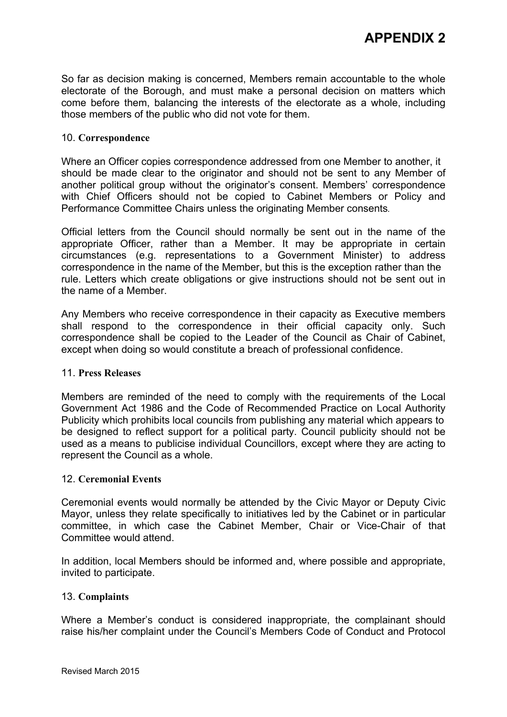So far as decision making is concerned, Members remain accountable to the whole electorate of the Borough, and must make a personal decision on matters which come before them, balancing the interests of the electorate as a whole, including those members of the public who did not vote for them.

# 10. **Correspondence**

Where an Officer copies correspondence addressed from one Member to another, it should be made clear to the originator and should not be sent to any Member of another political group without the originator's consent. Members' correspondence with Chief Officers should not be copied to Cabinet Members or Policy and Performance Committee Chairs unless the originating Member consents*.*

Official letters from the Council should normally be sent out in the name of the appropriate Officer, rather than a Member. It may be appropriate in certain circumstances (e.g. representations to a Government Minister) to address correspondence in the name of the Member, but this is the exception rather than the rule. Letters which create obligations or give instructions should not be sent out in the name of a Member.

Any Members who receive correspondence in their capacity as Executive members shall respond to the correspondence in their official capacity only. Such correspondence shall be copied to the Leader of the Council as Chair of Cabinet, except when doing so would constitute a breach of professional confidence.

# 11. **Press Releases**

Members are reminded of the need to comply with the requirements of the Local Government Act 1986 and the Code of Recommended Practice on Local Authority Publicity which prohibits local councils from publishing any material which appears to be designed to reflect support for a political party. Council publicity should not be used as a means to publicise individual Councillors, except where they are acting to represent the Council as a whole.

# 12. **Ceremonial Events**

Ceremonial events would normally be attended by the Civic Mayor or Deputy Civic Mayor, unless they relate specifically to initiatives led by the Cabinet or in particular committee, in which case the Cabinet Member, Chair or Vice-Chair of that Committee would attend.

In addition, local Members should be informed and, where possible and appropriate, invited to participate.

# 13. **Complaints**

Where a Member's conduct is considered inappropriate, the complainant should raise his/her complaint under the Council's Members Code of Conduct and Protocol